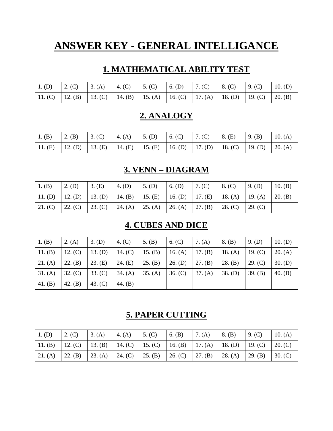# **ANSWER KEY - GENERAL INTELLIGANCE**

#### **1. MATHEMATICAL ABILITY TEST**

|  |  | 1. (D) 2. (C) 3. (A) 4. (C) 5. (C) 6. (D) 7. (C) 8. (C) 9. (C) 10. (D)          |  |  |
|--|--|---------------------------------------------------------------------------------|--|--|
|  |  | 11. (C) 12. (B) 13. (C) 14. (B) 15. (A) 16. (C) 17. (A) 18. (D) 19. (C) 20. (B) |  |  |

#### **2. ANALOGY**

| 1. (B) |  |  |  | 2. (B) 3. (C) 4. (A) 5. (D) 6. (C) 7. (C) 8. (E) 9. (B) 10. (A)                 |  |
|--------|--|--|--|---------------------------------------------------------------------------------|--|
|        |  |  |  | 11. (E) 12. (D) 13. (E) 14. (E) 15. (E) 16. (D) 17. (D) 18. (C) 19. (D) 20. (A) |  |

## **3. VENN – DIAGRAM**

| $\mid$ 1. (B) | $2.$ (D) | 3. (E)                                                                                  | 4. (D)                      | $5.$ (D) | $6.$ (D) | 17. (C)         | 8. (C)  | $9.$ (D) | 10. $(B)$       |
|---------------|----------|-----------------------------------------------------------------------------------------|-----------------------------|----------|----------|-----------------|---------|----------|-----------------|
|               |          | 11. (D)   12. (D)   13. (D)   14. (B)   15. (E)   16. (D)   17. (E)   18. (A)   19. (A) |                             |          |          |                 |         |          | $\vert$ 20. (B) |
| 21. (C)       | 22. (C)  | 23. (C)                                                                                 | 24. (A)   25. (A)   26. (A) |          |          | $\vert$ 27. (B) | 28. (C) | 29. (C)  |                 |

#### **4. CUBES AND DICE**

| $1.$ (B) | 2. $(A)$  | $3.$ (D)  | 4. $(C)$  | 5. $(B)$  | 6. (C)    | 7. (A)  | 8. (B)    | $9.$ (D) | 10. (D)   |
|----------|-----------|-----------|-----------|-----------|-----------|---------|-----------|----------|-----------|
| 11. (B)  | 12. (C)   | 13. (D)   | 14. $(C)$ | 15. $(B)$ | 16. $(A)$ | 17. (B) | 18. $(A)$ | 19. (C)  | 20. (A)   |
| 21. (A)  | 22. (B)   | 23. (E)   | 24. (E)   | 25. (B)   | $26.$ (D) | 27. (B) | 28. (B)   | 29. (C)  | $30.$ (D) |
| 31. (A)  | 32. (C)   | 33. (C)   | 34. (A)   | 35. (A)   | 36. (C)   | 37. (A) | $38.$ (D) | 39. (B)  | 40. $(B)$ |
| 41. (B)  | 42. $(B)$ | 43. $(C)$ | 44. $(B)$ |           |           |         |           |          |           |

#### **5. PAPER CUTTING**

| $1.$ (D) | 2. (C) | $\vert 3. (A) \vert 4. (A) \vert 5. (C) \vert$                                          |  | $\vert$ 6. (B) | 7. (A) | $\vert 8.$ (B)                      | 9. (C) | 10. $(A)$             |
|----------|--------|-----------------------------------------------------------------------------------------|--|----------------|--------|-------------------------------------|--------|-----------------------|
|          |        | 11. (B)   12. (C)   13. (B)   14. (C)   15. (C)   16. (B)   17. (A)   18. (D)   19. (C) |  |                |        |                                     |        | 20. (C)               |
|          |        | 21. (A)   22. (B)   23. (A)   24. (C)   25. (B)   26. (C)   27. (B)                     |  |                |        | $\vert 28. (A) \vert 29. (B) \vert$ |        | $\vert 30. (C) \vert$ |